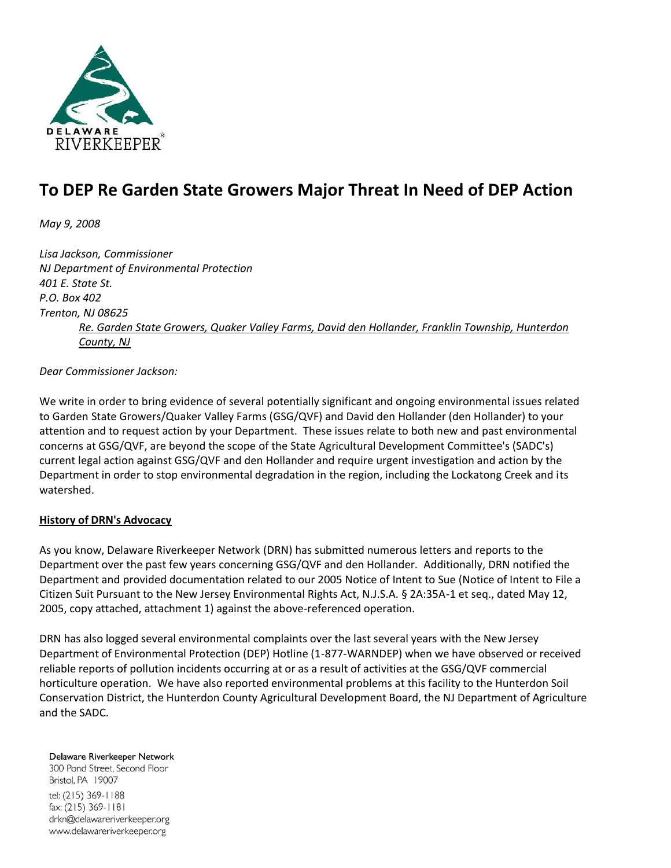

# **To DEP Re Garden State Growers Major Threat In Need of DEP Action**

*May 9, 2008*

*Lisa Jackson, Commissioner NJ Department of Environmental Protection 401 E. State St. P.O. Box 402 Trenton, NJ 08625 Re. Garden State Growers, Quaker Valley Farms, David den Hollander, Franklin Township, Hunterdon County, NJ*

## *Dear Commissioner Jackson:*

We write in order to bring evidence of several potentially significant and ongoing environmental issues related to Garden State Growers/Quaker Valley Farms (GSG/QVF) and David den Hollander (den Hollander) to your attention and to request action by your Department. These issues relate to both new and past environmental concerns at GSG/QVF, are beyond the scope of the State Agricultural Development Committee's (SADC's) current legal action against GSG/QVF and den Hollander and require urgent investigation and action by the Department in order to stop environmental degradation in the region, including the Lockatong Creek and its watershed.

### **History of DRN's Advocacy**

As you know, Delaware Riverkeeper Network (DRN) has submitted numerous letters and reports to the Department over the past few years concerning GSG/QVF and den Hollander. Additionally, DRN notified the Department and provided documentation related to our 2005 Notice of Intent to Sue (Notice of Intent to File a Citizen Suit Pursuant to the New Jersey Environmental Rights Act, N.J.S.A. § 2A:35A-1 et seq., dated May 12, 2005, copy attached, attachment 1) against the above-referenced operation.

DRN has also logged several environmental complaints over the last several years with the New Jersey Department of Environmental Protection (DEP) Hotline (1-877-WARNDEP) when we have observed or received reliable reports of pollution incidents occurring at or as a result of activities at the GSG/QVF commercial horticulture operation. We have also reported environmental problems at this facility to the Hunterdon Soil Conservation District, the Hunterdon County Agricultural Development Board, the NJ Department of Agriculture and the SADC.

Delaware Riverkeeper Network

300 Pond Street, Second Floor Bristol, PA 19007 tel: (215) 369-1188 fax: (215) 369-1181 drkn@delawareriverkeeper.org www.delawareriverkeeper.org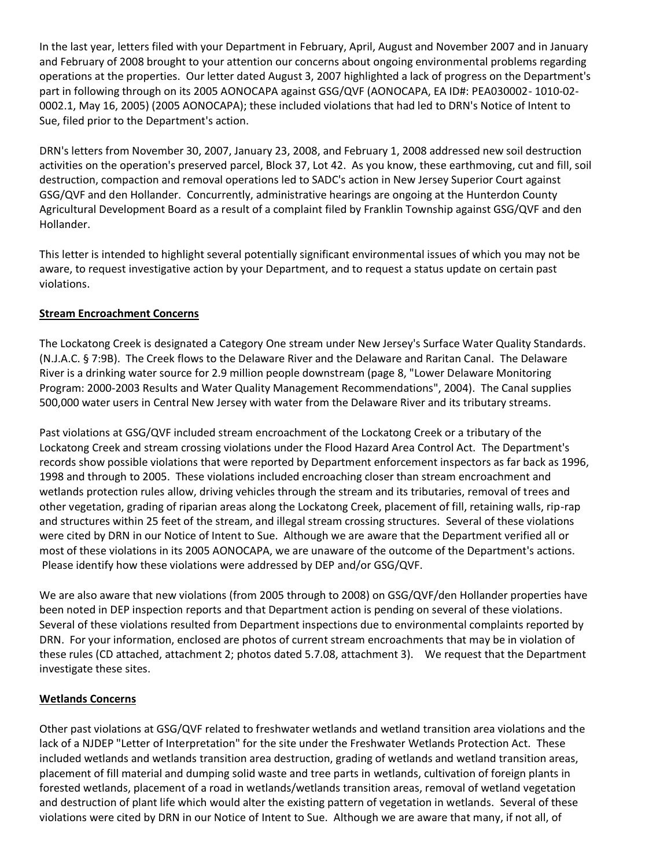In the last year, letters filed with your Department in February, April, August and November 2007 and in January and February of 2008 brought to your attention our concerns about ongoing environmental problems regarding operations at the properties. Our letter dated August 3, 2007 highlighted a lack of progress on the Department's part in following through on its 2005 AONOCAPA against GSG/QVF (AONOCAPA, EA ID#: PEA030002- 1010-02- 0002.1, May 16, 2005) (2005 AONOCAPA); these included violations that had led to DRN's Notice of Intent to Sue, filed prior to the Department's action.

DRN's letters from November 30, 2007, January 23, 2008, and February 1, 2008 addressed new soil destruction activities on the operation's preserved parcel, Block 37, Lot 42. As you know, these earthmoving, cut and fill, soil destruction, compaction and removal operations led to SADC's action in New Jersey Superior Court against GSG/QVF and den Hollander. Concurrently, administrative hearings are ongoing at the Hunterdon County Agricultural Development Board as a result of a complaint filed by Franklin Township against GSG/QVF and den Hollander.

This letter is intended to highlight several potentially significant environmental issues of which you may not be aware, to request investigative action by your Department, and to request a status update on certain past violations.

# **Stream Encroachment Concerns**

The Lockatong Creek is designated a Category One stream under New Jersey's Surface Water Quality Standards. (N.J.A.C. § 7:9B). The Creek flows to the Delaware River and the Delaware and Raritan Canal. The Delaware River is a drinking water source for 2.9 million people downstream (page 8, "Lower Delaware Monitoring Program: 2000-2003 Results and Water Quality Management Recommendations", 2004). The Canal supplies 500,000 water users in Central New Jersey with water from the Delaware River and its tributary streams.

Past violations at GSG/QVF included stream encroachment of the Lockatong Creek or a tributary of the Lockatong Creek and stream crossing violations under the Flood Hazard Area Control Act. The Department's records show possible violations that were reported by Department enforcement inspectors as far back as 1996, 1998 and through to 2005. These violations included encroaching closer than stream encroachment and wetlands protection rules allow, driving vehicles through the stream and its tributaries, removal of trees and other vegetation, grading of riparian areas along the Lockatong Creek, placement of fill, retaining walls, rip-rap and structures within 25 feet of the stream, and illegal stream crossing structures. Several of these violations were cited by DRN in our Notice of Intent to Sue. Although we are aware that the Department verified all or most of these violations in its 2005 AONOCAPA, we are unaware of the outcome of the Department's actions. Please identify how these violations were addressed by DEP and/or GSG/QVF.

We are also aware that new violations (from 2005 through to 2008) on GSG/QVF/den Hollander properties have been noted in DEP inspection reports and that Department action is pending on several of these violations. Several of these violations resulted from Department inspections due to environmental complaints reported by DRN. For your information, enclosed are photos of current stream encroachments that may be in violation of these rules (CD attached, attachment 2; photos dated 5.7.08, attachment 3). We request that the Department investigate these sites.

# **Wetlands Concerns**

Other past violations at GSG/QVF related to freshwater wetlands and wetland transition area violations and the lack of a NJDEP "Letter of Interpretation" for the site under the Freshwater Wetlands Protection Act. These included wetlands and wetlands transition area destruction, grading of wetlands and wetland transition areas, placement of fill material and dumping solid waste and tree parts in wetlands, cultivation of foreign plants in forested wetlands, placement of a road in wetlands/wetlands transition areas, removal of wetland vegetation and destruction of plant life which would alter the existing pattern of vegetation in wetlands. Several of these violations were cited by DRN in our Notice of Intent to Sue. Although we are aware that many, if not all, of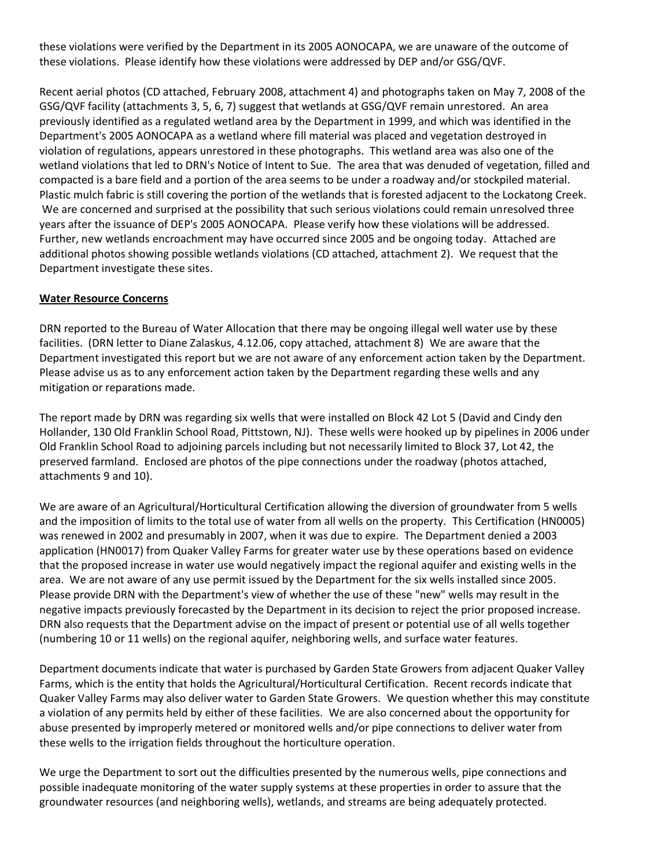these violations were verified by the Department in its 2005 AONOCAPA, we are unaware of the outcome of these violations. Please identify how these violations were addressed by DEP and/or GSG/QVF.

Recent aerial photos (CD attached, February 2008, attachment 4) and photographs taken on May 7, 2008 of the GSG/QVF facility (attachments 3, 5, 6, 7) suggest that wetlands at GSG/QVF remain unrestored. An area previously identified as a regulated wetland area by the Department in 1999, and which was identified in the Department's 2005 AONOCAPA as a wetland where fill material was placed and vegetation destroyed in violation of regulations, appears unrestored in these photographs. This wetland area was also one of the wetland violations that led to DRN's Notice of Intent to Sue. The area that was denuded of vegetation, filled and compacted is a bare field and a portion of the area seems to be under a roadway and/or stockpiled material. Plastic mulch fabric is still covering the portion of the wetlands that is forested adjacent to the Lockatong Creek. We are concerned and surprised at the possibility that such serious violations could remain unresolved three years after the issuance of DEP's 2005 AONOCAPA. Please verify how these violations will be addressed. Further, new wetlands encroachment may have occurred since 2005 and be ongoing today. Attached are additional photos showing possible wetlands violations (CD attached, attachment 2). We request that the Department investigate these sites.

## **Water Resource Concerns**

DRN reported to the Bureau of Water Allocation that there may be ongoing illegal well water use by these facilities. (DRN letter to Diane Zalaskus, 4.12.06, copy attached, attachment 8) We are aware that the Department investigated this report but we are not aware of any enforcement action taken by the Department. Please advise us as to any enforcement action taken by the Department regarding these wells and any mitigation or reparations made.

The report made by DRN was regarding six wells that were installed on Block 42 Lot 5 (David and Cindy den Hollander, 130 Old Franklin School Road, Pittstown, NJ). These wells were hooked up by pipelines in 2006 under Old Franklin School Road to adjoining parcels including but not necessarily limited to Block 37, Lot 42, the preserved farmland. Enclosed are photos of the pipe connections under the roadway (photos attached, attachments 9 and 10).

We are aware of an Agricultural/Horticultural Certification allowing the diversion of groundwater from 5 wells and the imposition of limits to the total use of water from all wells on the property. This Certification (HN0005) was renewed in 2002 and presumably in 2007, when it was due to expire. The Department denied a 2003 application (HN0017) from Quaker Valley Farms for greater water use by these operations based on evidence that the proposed increase in water use would negatively impact the regional aquifer and existing wells in the area. We are not aware of any use permit issued by the Department for the six wells installed since 2005. Please provide DRN with the Department's view of whether the use of these "new" wells may result in the negative impacts previously forecasted by the Department in its decision to reject the prior proposed increase. DRN also requests that the Department advise on the impact of present or potential use of all wells together (numbering 10 or 11 wells) on the regional aquifer, neighboring wells, and surface water features.

Department documents indicate that water is purchased by Garden State Growers from adjacent Quaker Valley Farms, which is the entity that holds the Agricultural/Horticultural Certification. Recent records indicate that Quaker Valley Farms may also deliver water to Garden State Growers. We question whether this may constitute a violation of any permits held by either of these facilities. We are also concerned about the opportunity for abuse presented by improperly metered or monitored wells and/or pipe connections to deliver water from these wells to the irrigation fields throughout the horticulture operation.

We urge the Department to sort out the difficulties presented by the numerous wells, pipe connections and possible inadequate monitoring of the water supply systems at these properties in order to assure that the groundwater resources (and neighboring wells), wetlands, and streams are being adequately protected.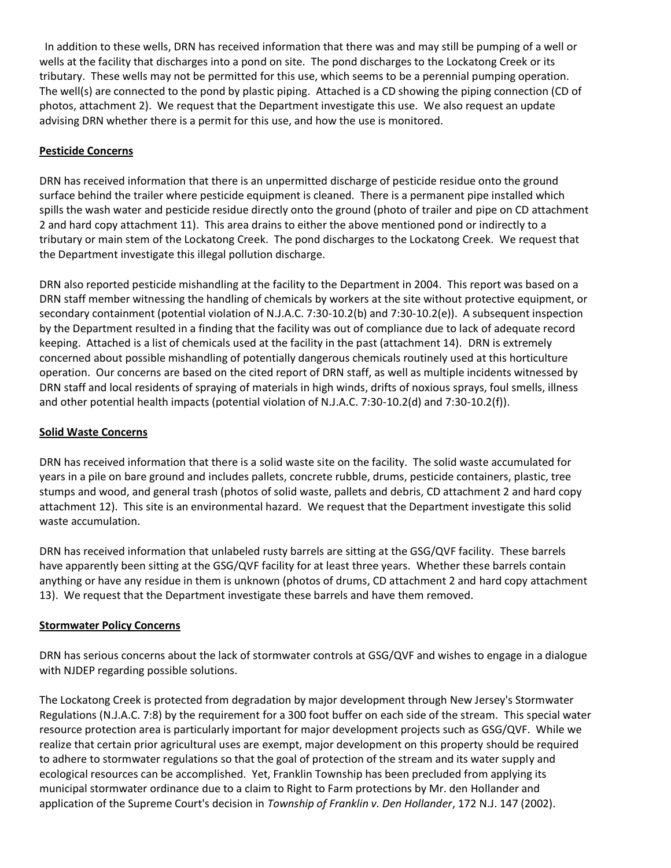In addition to these wells, DRN has received information that there was and may still be pumping of a well or wells at the facility that discharges into a pond on site. The pond discharges to the Lockatong Creek or its tributary. These wells may not be permitted for this use, which seems to be a perennial pumping operation. The well(s) are connected to the pond by plastic piping. Attached is a CD showing the piping connection (CD of photos, attachment 2). We request that the Department investigate this use. We also request an update advising DRN whether there is a permit for this use, and how the use is monitored.

# **Pesticide Concerns**

DRN has received information that there is an unpermitted discharge of pesticide residue onto the ground surface behind the trailer where pesticide equipment is cleaned. There is a permanent pipe installed which spills the wash water and pesticide residue directly onto the ground (photo of trailer and pipe on CD attachment 2 and hard copy attachment 11). This area drains to either the above mentioned pond or indirectly to a tributary or main stem of the Lockatong Creek. The pond discharges to the Lockatong Creek. We request that the Department investigate this illegal pollution discharge.

DRN also reported pesticide mishandling at the facility to the Department in 2004. This report was based on a DRN staff member witnessing the handling of chemicals by workers at the site without protective equipment, or secondary containment (potential violation of N.J.A.C. 7:30-10.2(b) and 7:30-10.2(e)). A subsequent inspection by the Department resulted in a finding that the facility was out of compliance due to lack of adequate record keeping. Attached is a list of chemicals used at the facility in the past (attachment 14). DRN is extremely concerned about possible mishandling of potentially dangerous chemicals routinely used at this horticulture operation. Our concerns are based on the cited report of DRN staff, as well as multiple incidents witnessed by DRN staff and local residents of spraying of materials in high winds, drifts of noxious sprays, foul smells, illness and other potential health impacts (potential violation of N.J.A.C. 7:30-10.2(d) and 7:30-10.2(f)).

### **Solid Waste Concerns**

DRN has received information that there is a solid waste site on the facility. The solid waste accumulated for years in a pile on bare ground and includes pallets, concrete rubble, drums, pesticide containers, plastic, tree stumps and wood, and general trash (photos of solid waste, pallets and debris, CD attachment 2 and hard copy attachment 12). This site is an environmental hazard. We request that the Department investigate this solid waste accumulation.

DRN has received information that unlabeled rusty barrels are sitting at the GSG/QVF facility. These barrels have apparently been sitting at the GSG/QVF facility for at least three years. Whether these barrels contain anything or have any residue in them is unknown (photos of drums, CD attachment 2 and hard copy attachment 13). We request that the Department investigate these barrels and have them removed.

### **Stormwater Policy Concerns**

DRN has serious concerns about the lack of stormwater controls at GSG/QVF and wishes to engage in a dialogue with NJDEP regarding possible solutions.

The Lockatong Creek is protected from degradation by major development through New Jersey's Stormwater Regulations (N.J.A.C. 7:8) by the requirement for a 300 foot buffer on each side of the stream. This special water resource protection area is particularly important for major development projects such as GSG/QVF. While we realize that certain prior agricultural uses are exempt, major development on this property should be required to adhere to stormwater regulations so that the goal of protection of the stream and its water supply and ecological resources can be accomplished. Yet, Franklin Township has been precluded from applying its municipal stormwater ordinance due to a claim to Right to Farm protections by Mr. den Hollander and application of the Supreme Court's decision in *Township of Franklin v. Den Hollander*, 172 N.J. 147 (2002).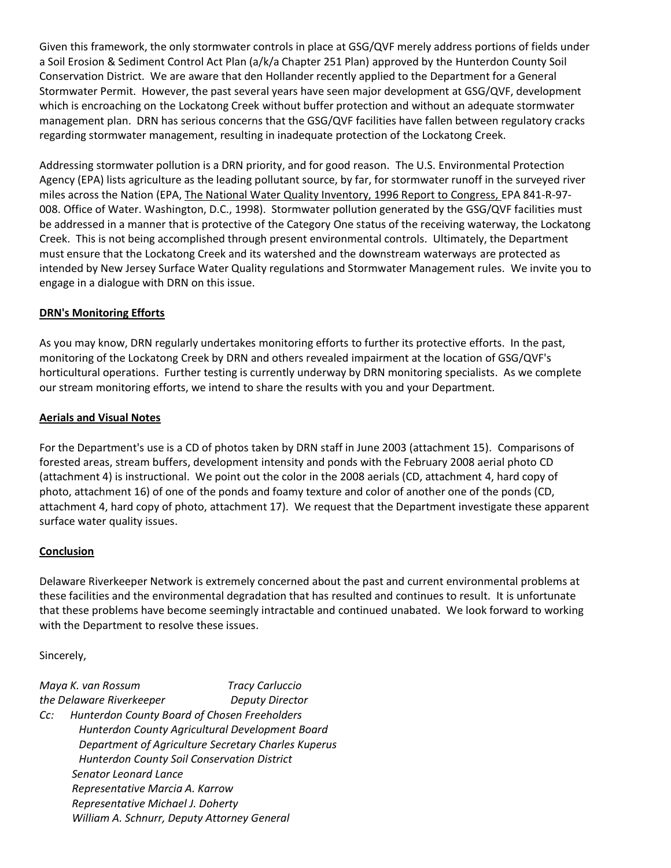Given this framework, the only stormwater controls in place at GSG/QVF merely address portions of fields under a Soil Erosion & Sediment Control Act Plan (a/k/a Chapter 251 Plan) approved by the Hunterdon County Soil Conservation District. We are aware that den Hollander recently applied to the Department for a General Stormwater Permit. However, the past several years have seen major development at GSG/QVF, development which is encroaching on the Lockatong Creek without buffer protection and without an adequate stormwater management plan. DRN has serious concerns that the GSG/QVF facilities have fallen between regulatory cracks regarding stormwater management, resulting in inadequate protection of the Lockatong Creek.

Addressing stormwater pollution is a DRN priority, and for good reason. The U.S. Environmental Protection Agency (EPA) lists agriculture as the leading pollutant source, by far, for stormwater runoff in the surveyed river miles across the Nation (EPA, The National Water Quality Inventory, 1996 Report to Congress, EPA 841-R-97- 008. Office of Water. Washington, D.C., 1998). Stormwater pollution generated by the GSG/QVF facilities must be addressed in a manner that is protective of the Category One status of the receiving waterway, the Lockatong Creek. This is not being accomplished through present environmental controls. Ultimately, the Department must ensure that the Lockatong Creek and its watershed and the downstream waterways are protected as intended by New Jersey Surface Water Quality regulations and Stormwater Management rules. We invite you to engage in a dialogue with DRN on this issue.

# **DRN's Monitoring Efforts**

As you may know, DRN regularly undertakes monitoring efforts to further its protective efforts. In the past, monitoring of the Lockatong Creek by DRN and others revealed impairment at the location of GSG/QVF's horticultural operations. Further testing is currently underway by DRN monitoring specialists. As we complete our stream monitoring efforts, we intend to share the results with you and your Department.

### **Aerials and Visual Notes**

For the Department's use is a CD of photos taken by DRN staff in June 2003 (attachment 15). Comparisons of forested areas, stream buffers, development intensity and ponds with the February 2008 aerial photo CD (attachment 4) is instructional. We point out the color in the 2008 aerials (CD, attachment 4, hard copy of photo, attachment 16) of one of the ponds and foamy texture and color of another one of the ponds (CD, attachment 4, hard copy of photo, attachment 17). We request that the Department investigate these apparent surface water quality issues.

### **Conclusion**

Delaware Riverkeeper Network is extremely concerned about the past and current environmental problems at these facilities and the environmental degradation that has resulted and continues to result. It is unfortunate that these problems have become seemingly intractable and continued unabated. We look forward to working with the Department to resolve these issues.

Sincerely,

| Maya K. van Rossum       |                                                     | <b>Tracy Carluccio</b>                       |  |
|--------------------------|-----------------------------------------------------|----------------------------------------------|--|
| the Delaware Riverkeeper |                                                     | <b>Deputy Director</b>                       |  |
| Cc:                      |                                                     | Hunterdon County Board of Chosen Freeholders |  |
|                          | Hunterdon County Agricultural Development Board     |                                              |  |
|                          | Department of Agriculture Secretary Charles Kuperus |                                              |  |
|                          | Hunterdon County Soil Conservation District         |                                              |  |
|                          | <b>Senator Leonard Lance</b>                        |                                              |  |
|                          | Representative Marcia A. Karrow                     |                                              |  |
|                          | Representative Michael J. Doherty                   |                                              |  |
|                          | William A. Schnurr, Deputy Attorney General         |                                              |  |
|                          |                                                     |                                              |  |